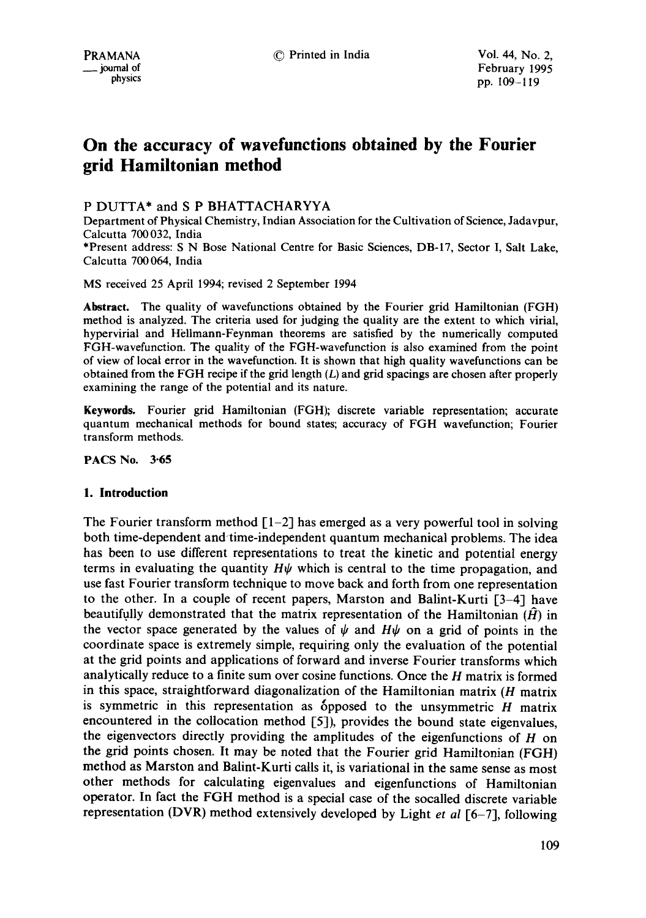# **On the accuracy of wavefunctions obtained by the Fourier grid Hamiltonian method**

# P DUTTA\* and S P BHATTACHARYYA

Department of Physical Chemistry, Indian Association for the Cultivation of Science, Jadavpur, Calcutta 700032, India \*Present address: S N Bose National Centre for Basic Sciences, DB-17, Sector I, Salt Lake, Calcutta 700 064, India

MS received 25 April 1994; revised 2 September 1994

**Abstract.** The quality of wavefunctions obtained by the Fourier grid Hamiltonian (FGH) method is analyzed. The criteria used for judging the quality are the extent to which virial, hypervirial and Hellmann-Feynman theorems are satisfied by the numerically computed FGH-wavefunction. The quality of the FGH-wavefunction is also examined from the point of view of local error in the wavefunction. It is shown that high quality wavefunctions can be obtained from the FGH recipe if the grid length  $(L)$  and grid spacings are chosen after properly examining the range of the potential and its nature.

Keywords. Fourier grid Hamiltonian (FGH); discrete variable representation; accurate quantum mechanical methods for bound states; accuracy of FGH wavefunction; Fourier transform methods.

PACS No. 3-65

#### **1. Introduction**

The Fourier transform method  $\lceil 1-2 \rceil$  has emerged as a very powerful tool in solving both time-dependent and time-independent quantum mechanical problems. The idea has been to use different representations to treat the kinetic and potential energy terms in evaluating the quantity  $H\psi$  which is central to the time propagation, and use fast Fourier transform technique to move back and forth from one representation to the other. In a couple of recent papers, Marston and Balint-Kurti [3-4] have beautifully demonstrated that the matrix representation of the Hamiltonian  $(H)$  in the vector space generated by the values of  $\psi$  and  $H\psi$  on a grid of points in the coordinate space is extremely simple, requiring only the evaluation of the potential at the grid points and applications of forward and inverse Fourier transforms which analytically reduce to a finite sum over cosine functions. Once the H matrix is formed in this space, straightforward diagonalization of the Hamiltonian matrix  $(H$  matrix is symmetric in this representation as opposed to the unsymmetric  $H$  matrix encountered in the collocation method [5]), provides the bound state eigenvalues, the eigenvectors directly providing the amplitudes of the eigenfunctions of  $H$  on the grid points chosen. It may be noted that the Fourier grid Hamiltonian (FGH) method as Marston and Balint-Kurti calls it, is variational in the same sense as most other methods for calculating eigenvalues and eigenfunctions of Hamiltonian operator. In fact the FGH method is a special case of the socalled discrete variable representation (DVR) method extensively developed by Light *et al* [6-7], following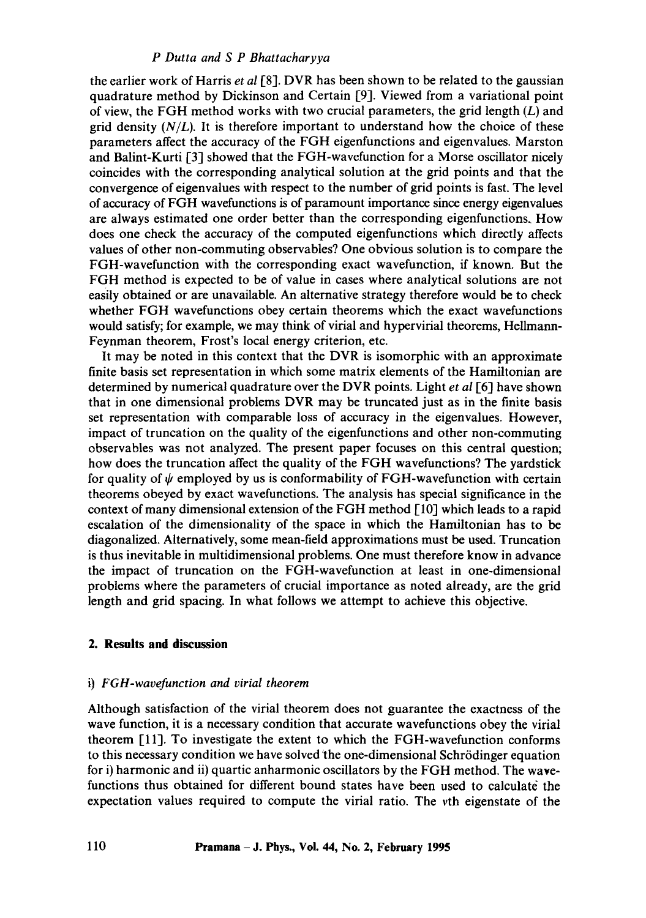### *P Dutta and S P Bhattacharyya*

the earlier work of Harris *et al* [8]. DVR has been shown to be related to the gaussian quadrature method by Dickinson and Certain [9]. Viewed from a variational point of view, the FGH method works with two crucial parameters, the grid length  $(L)$  and grid density  $(N/L)$ . It is therefore important to understand how the choice of these parameters affect the accuracy of the FGH eigenfunctions and eigenvalues. Marston and Balint-Kurti [3] showed that the FGH-wavefunction for a Morse oscillator nicely coincides with the corresponding analytical solution at the grid points and that the convergence of eigenvalues with respect to the number of grid points is fast. The level of accuracy of FGH wavefunctions is of paramount importance since energy eigenvalues are always estimated one order better than the corresponding eigenfunctions. How does one check the accuracy of the computed eigenfunctions which directly affects values of other non-commuting observables? One obvious solution is to compare the FGH-wavefunction with the corresponding exact wavefunction, if known. But the FGH method is expected to be of value in cases where analytical solutions are not easily obtained or are unavailable. An alternative strategy therefore would be to check whether FGH wavefunctions obey certain theorems which the exact wavefunctions would satisfy; for example, we may think of virial and hypervirial theorems, Hellmann-Feynman theorem, Frost's local energy criterion, etc.

It may be noted in this context that the DVR is isomorphic with an approximate finite basis set representation in which some matrix elements of the Hamiltonian are determined by numerical quadrature over the DVR points. Light *et al* I-6] have shown that in one dimensional problems DVR may be truncated just as in the finite basis set representation with comparable loss of accuracy in the eigenvalues. However, impact of truncation on the quality of the eigenfunctions and other non-commuting observables was not analyzed. The present paper focuses on this central question; how does the truncation affect the quality of the FGH wavefunctions? The yardstick for quality of  $\psi$  employed by us is conformability of FGH-wavefunction with certain theorems obeyed by exact wavefunctions. The analysis has special significance in the context of many dimensional extension of the FGH method [10] which leads to a rapid escalation of the dimensionality of the space in which the Hamiltonian has to be diagonalized. Alternatively, some mean-field approximations must be used. Truncation is thus inevitable in multidimensional problems. One must therefore know in advance the impact of truncation on the FGH-wavefunction at least in one-dimensional problems where the parameters of crucial importance as noted already, are the grid length and grid spacing. In what follows we attempt to achieve this objective.

## **2. Results and discussion**

#### i) *FGH-wavefunction and virial theorem*

Although satisfaction of the virial theorem does not guarantee the exactness of the wave function, it is a necessary condition that accurate wavefunctions obey the virial theorem [111. To investigate the extent to which the FGH-wavefunction conforms to this necessary condition we have solved the one-dimensional Schrödinger equation for i) harmonic and ii) quartic anharmonic oscillators by the FGH method. The wavefunctions thus obtained for different bound states have been used to calculate the expectation values required to compute the virial ratio. The vth eigenstate of the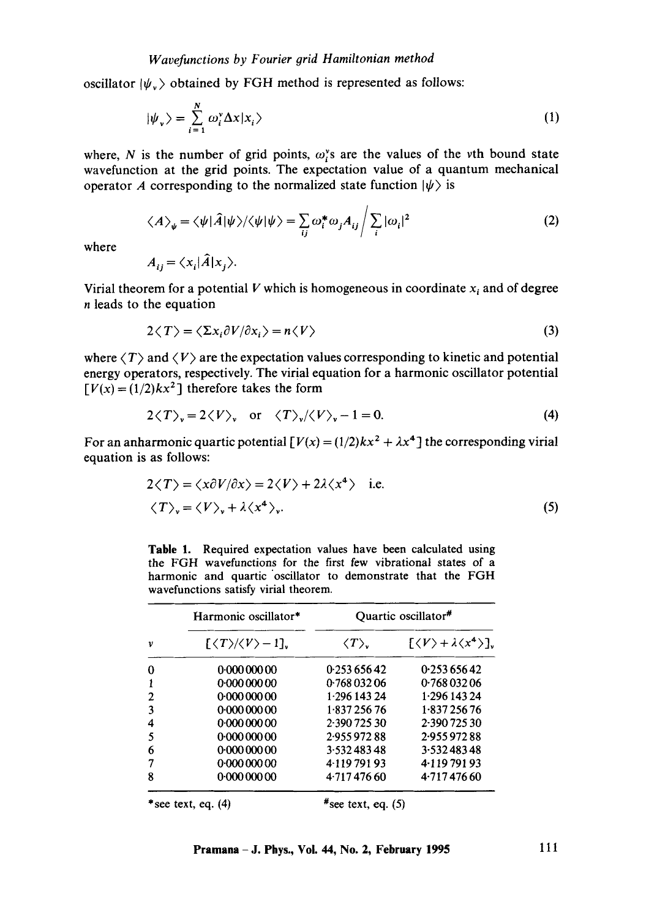oscillator  $|\psi_{v}\rangle$  obtained by FGH method is represented as follows:

$$
|\psi_{\nu}\rangle = \sum_{i=1}^{N} \omega_{i}^{\nu} \Delta x |x_{i}\rangle
$$
 (1)

where, N is the number of grid points,  $\omega_i^s$  are the values of the vth bound state wavefunction at the grid points. The expectation value of a quantum mechanical operator A corresponding to the normalized state function  $|\psi\rangle$  is

$$
\langle A \rangle_{\psi} = \langle \psi | \hat{A} | \psi \rangle / \langle \psi | \psi \rangle = \sum_{ij} \omega_i^* \omega_j A_{ij} / \sum_i |\omega_i|^2
$$
 (2)

where

$$
A_{ij} = \langle x_i | \hat{A} | x_j \rangle.
$$

Virial theorem for a potential V which is homogeneous in coordinate  $x_i$  and of degree n leads to the equation

$$
2\langle T\rangle = \langle \Sigma x_i \partial V / \partial x_i \rangle = n \langle V \rangle \tag{3}
$$

where  $\langle T \rangle$  and  $\langle V \rangle$  are the expectation values corresponding to kinetic and potential energy operators, respectively. The virial equation for a harmonic oscillator potential  $[V(x) = (1/2)kx^2]$  therefore takes the form

$$
2\langle T\rangle_{\mathbf{v}} = 2\langle V\rangle_{\mathbf{v}} \quad \text{or} \quad \langle T\rangle_{\mathbf{v}}/\langle V\rangle_{\mathbf{v}} - 1 = 0. \tag{4}
$$

For an anharmonic quartic potential  $[V(x) = (1/2)kx^2 + \lambda x^4]$  the corresponding virial equation is as follows:

$$
2\langle T \rangle = \langle x\partial V/\partial x \rangle = 2\langle V \rangle + 2\lambda \langle x^4 \rangle \quad \text{i.e.}
$$
  

$$
\langle T \rangle_v = \langle V \rangle_v + \lambda \langle x^4 \rangle_v.
$$
 (5)

Table 1. Required expectation values have been calculated using the FGH wavefunctions for the first few vibrational states of a harmonic and quartic 'oscillator to demonstrate that the FGH wavefunctions satisfy virial theorem.

| v | Harmonic oscillator*                                        | Quartic oscillator <sup>#</sup> |                                                              |  |
|---|-------------------------------------------------------------|---------------------------------|--------------------------------------------------------------|--|
|   | $\lfloor \langle T \rangle / \langle V \rangle - 1 \rfloor$ | $\langle T \rangle$             | $\left[\langle V\rangle + \lambda \langle x^4\rangle\right]$ |  |
| 0 | 0.00000000                                                  | 0.253 656 42                    | 0.253 656 42                                                 |  |
| 1 | 0.00000000                                                  | 0.76803206                      | 0.76803206                                                   |  |
| 2 | 0.00000000                                                  | 1.296 143 24                    | 1.296 143 24                                                 |  |
| 3 | 0.00000000                                                  | 1.83725676                      | 1.83725676                                                   |  |
| 4 | 0.00000000                                                  | 2.390 725 30                    | 2.390 725 30                                                 |  |
| 5 | 0.00000000                                                  | 2.955 972 88                    | 2.955 972 88                                                 |  |
| 6 | 0.00000000                                                  | 3.53248348                      | 3.53248348                                                   |  |
| 7 | 0.00000000                                                  | 4.11979193                      | 4.11979193                                                   |  |
| 8 | 0.00000000                                                  | 4.71747660                      | 4.71747660                                                   |  |
|   |                                                             | u                               | $\rightarrow$                                                |  |

\*see text, eq.  $(4)$  #see text, eq.  $(5)$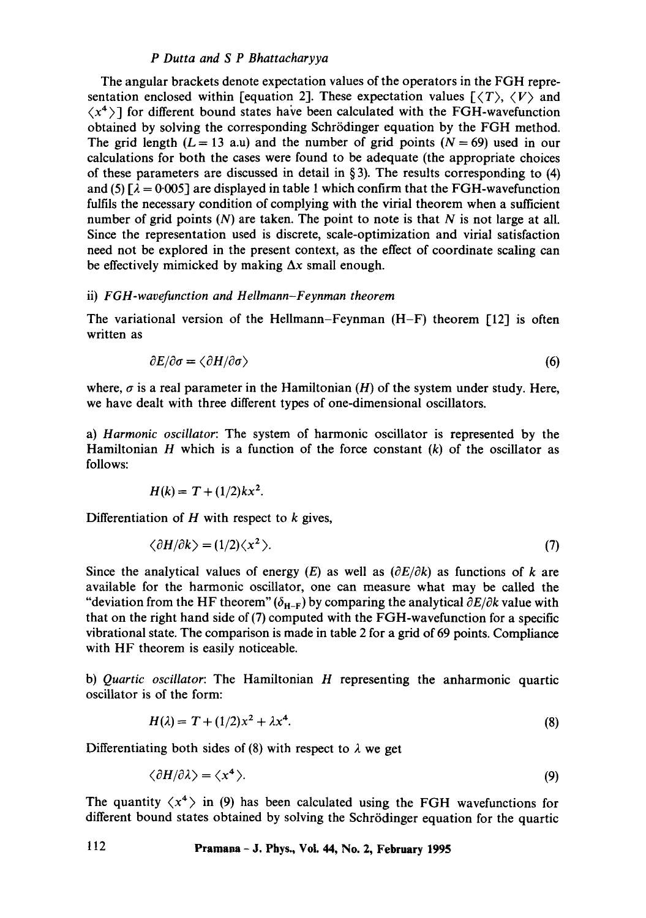## *P Dutta and S P Bhattacharyya*

The angular brackets denote expectation values of the operators in the FGH representation enclosed within [equation 2]. These expectation values  $\lceil \langle T \rangle, \langle V \rangle$  and  $\langle x^4 \rangle$  for different bound states have been calculated with the FGH-wavefunction obtained by solving the corresponding Schrödinger equation by the FGH method. The grid length  $(L = 13 \text{ a.u})$  and the number of grid points  $(N = 69)$  used in our calculations for both the cases were found to be adequate (the appropriate choices of these parameters are discussed in detail in § 3). The results corresponding to (4) and (5)  $\lceil \lambda = 0.005 \rceil$  are displayed in table 1 which confirm that the FGH-wavefunction fulfils the necessary condition of complying with the virial theorem when a sufficient number of grid points  $(N)$  are taken. The point to note is that N is not large at all. Since the representation used is discrete, scale-optimization and virial satisfaction need not be explored in the present context, as the effect of coordinate scaling can be effectively mimicked by making  $\Delta x$  small enough.

#### ii) *F G H-wavefunction and H ellmann-F eynman theorem*

The variational version of the Hellmann-Feynman (H-F) theorem [12] is often written as

$$
\partial E/\partial \sigma = \langle \partial H/\partial \sigma \rangle \tag{6}
$$

where,  $\sigma$  is a real parameter in the Hamiltonian (H) of the system under study. Here, we have dealt with three different types of one-dimensional oscillators.

a) *Harmonic oscillator:* The system of harmonic oscillator is represented by the Hamiltonian H which is a function of the force constant  $(k)$  of the oscillator as follows:

$$
H(k) = T + (1/2)kx^2.
$$

Differentiation of  $H$  with respect to  $k$  gives,

$$
\langle \partial H/\partial k \rangle = (1/2)\langle x^2 \rangle. \tag{7}
$$

Since the analytical values of energy (E) as well as  $(\partial E/\partial k)$  as functions of k are available for the harmonic oscillator, one can measure what may be called the "deviation from the HF theorem"  $(\delta_{H-F})$  by comparing the analytical  $\partial E/\partial k$  value with that on the right hand side of (7) computed with the FGH-wavefunction for a specific vibrational state. The comparison is made in table 2 for a grid of 69 points. Compliance with HF theorem is easily noticeable.

b) *Quartic oscillator:* The Hamiltonian H representing the anharmonic quartic oscillator is of the form:

$$
H(\lambda) = T + (1/2)x^2 + \lambda x^4. \tag{8}
$$

Differentiating both sides of (8) with respect to  $\lambda$  we get

$$
\langle \partial H/\partial \lambda \rangle = \langle x^4 \rangle. \tag{9}
$$

The quantity  $\langle x^4 \rangle$  in (9) has been calculated using the FGH wavefunctions for different bound states obtained by solving the Schrödinger equation for the quartic

**112 Pramana - J. Phys., VoL 44, No. 2, February 1995**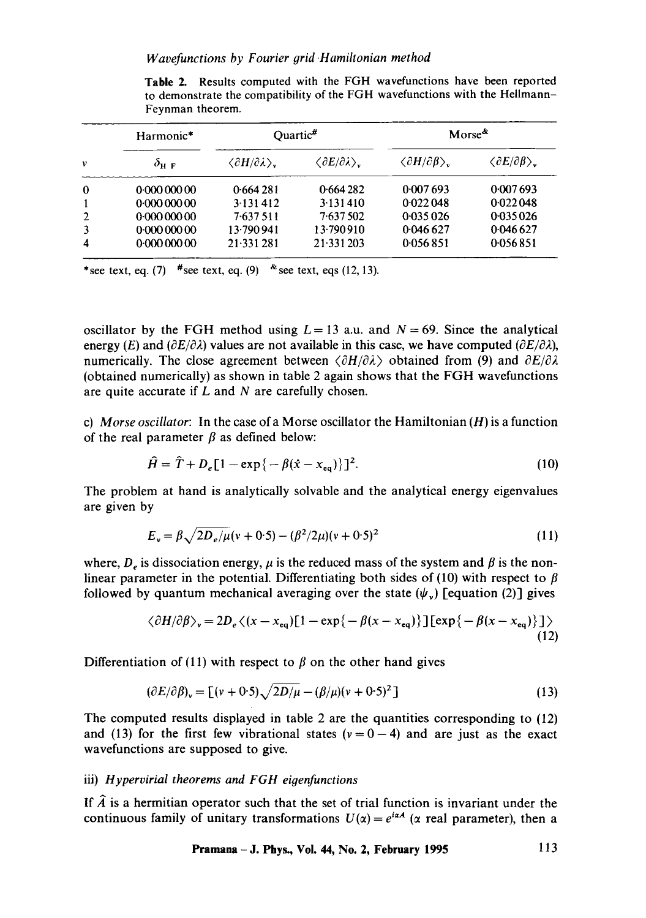|                         | Harmonic*<br>$\delta$ н г | Quartic <sup>#</sup>                          |                                               | Morse <sup>&amp;</sup>                      |                                             |
|-------------------------|---------------------------|-----------------------------------------------|-----------------------------------------------|---------------------------------------------|---------------------------------------------|
| ν                       |                           | $\langle \partial H/\partial \lambda \rangle$ | $\langle \partial E/\partial \lambda \rangle$ | $\langle \partial H/\partial \beta \rangle$ | $\langle \partial E/\partial \beta \rangle$ |
| 0                       | 0.00000000                | 0.664281                                      | 0.664282                                      | 0.007693                                    | 0.007693                                    |
| $\mathbf{1}$            | 0.00000000                | 3.131412                                      | 3.131410                                      | 0.022048                                    | 0.022048                                    |
| $\overline{2}$          | 0.00000000                | $7-637511$                                    | 7.637502                                      | 0.035026                                    | 0.035026                                    |
| 3                       | 0.00000000                | 13.790 941                                    | 13.790910                                     | 0.046 627                                   | 0.046627                                    |
| $\overline{\mathbf{4}}$ | 0.00000000                | 21.331.281                                    | 21.331203                                     | 0.056851                                    | 0.056851                                    |

Table 2. Results computed with the FGH wavefunctions have been reported to demonstrate the compatibility of the FGH wavefunctions with the Hellmann-Feynman theorem.

\*see text, eq. (7)  $\frac{4}{5}$ see text, eq. (9)  $\frac{8}{5}$ see text, eqs (12, 13).

oscillator by the FGH method using  $L = 13$  a.u. and  $N = 69$ . Since the analytical energy (E) and  $(\partial E/\partial \lambda)$  values are not available in this case, we have computed  $(\partial E/\partial \lambda)$ , numerically. The close agreement between  $\langle \partial H/\partial \lambda \rangle$  obtained from (9) and  $\partial E/\partial \lambda$ (obtained numerically) as shown in table 2 again shows that the FGH wavefunctions are quite accurate if  $L$  and  $N$  are carefully chosen.

c) *Morse oscillator:* In the case of a Morse oscillator the Hamiltonian (H) is a function of the real parameter  $\beta$  as defined below:

$$
\hat{H} = \hat{T} + D_e [1 - \exp\{-\beta(\hat{x} - x_{eq})\}]^2.
$$
 (10)

The problem at hand is analytically solvable and the analytical energy eigenvalues are given by

$$
E_v = \beta \sqrt{2D_e/\mu}(v + 0.5) - (\beta^2/2\mu)(v + 0.5)^2
$$
 (11)

where,  $D<sub>e</sub>$  is dissociation energy,  $\mu$  is the reduced mass of the system and  $\beta$  is the nonlinear parameter in the potential. Differentiating both sides of (10) with respect to  $\beta$ followed by quantum mechanical averaging over the state  $(\psi_{\nu})$  [equation (2)] gives

$$
\langle \partial H/\partial \beta \rangle_{\rm v} = 2D_e \langle (x - x_{\rm eq})[1 - \exp\{-\beta(x - x_{\rm eq})\}] \exp\{-\beta(x - x_{\rm eq})\}] \rangle
$$
\n(12)

Differentiation of (11) with respect to  $\beta$  on the other hand gives

$$
(\partial E/\partial \beta)_v = [(v + 0.5)\sqrt{2D/\mu} - (\beta/\mu)(v + 0.5)^2]
$$
 (13)

The computed results displayed in table 2 are the quantities corresponding to (12) and (13) for the first few vibrational states ( $v = 0 - 4$ ) and are just as the exact wavefunctions are supposed to give.

## iii) *Hypervirial theorems and FGH eigenfunctions*

If  $\hat{A}$  is a hermitian operator such that the set of trial function is invariant under the continuous family of unitary transformations  $U(\alpha) = e^{i\alpha A}$  ( $\alpha$  real parameter), then a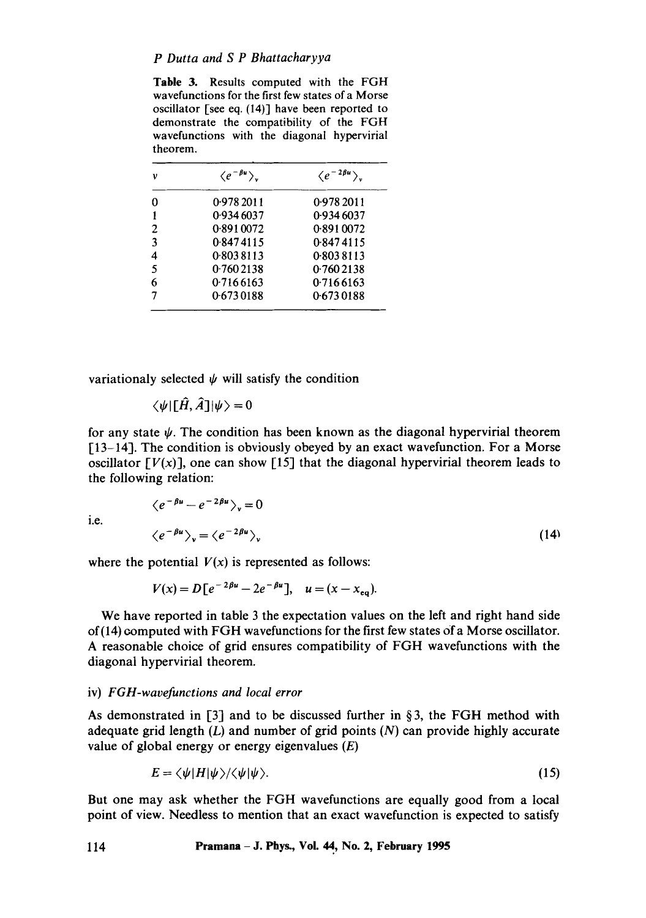Table 3. Results computed with the FGH wavefunctions for the first few states of a Morse oscillator [see eq. (14)] have been reported to demonstrate the compatibility of the FGH wavefunctions with the diagonal hypervirial theorem.

| υ              | $\langle e^{-\beta u} \rangle$ | $\langle e^{-2\beta u}\rangle$ |
|----------------|--------------------------------|--------------------------------|
| 0              | 0.978 2011                     | 0.9782011                      |
|                | 0.934 6037                     | 0.934 6037                     |
| $\overline{2}$ | 0.8910072                      | 0.8910072                      |
| 3              | 0.8474115                      | 0.8474115                      |
| 4              | 0.8038113                      | 0.8038113                      |
| 5              | 0.7602138                      | 0.7602138                      |
| 6              | 0.7166163                      | 0.7166163                      |
|                | 0.6730188                      | 0.6730188                      |

variationaly selected  $\psi$  will satisfy the condition

 $\langle \psi | \llbracket \hat{H}, \hat{A} \rrbracket |\psi \rangle = 0$ 

for any state  $\psi$ . The condition has been known as the diagonal hypervirial theorem [13-14]. The condition is obviously obeyed by an exact wavefunction. For a Morse oscillator  $[V(x)]$ , one can show [15] that the diagonal hypervirial theorem leads to the following relation:

**i.e.** 

$$
\langle e^{-\beta u} - e^{-2\beta u} \rangle_{v} = 0
$$
  

$$
\langle e^{-\beta u} \rangle_{v} = \langle e^{-2\beta u} \rangle_{v}
$$
 (14)

where the potential  $V(x)$  is represented as follows:

$$
V(x) = D\big[e^{-2\beta u} - 2e^{-\beta u}\big], \quad u = (x - x_{eq}).
$$

We have reported in table 3 the expectation values on the left and right hand side of(14) computed with FGH wavefunctions for the first few states of a Morse oscillator. A reasonable choice of grid ensures compatibility of FGH wavefunctions with the diagonal hypervirial theorem.

#### iv) *FGH-wavefunctions and local error*

As demonstrated in [3] and to be discussed further in §3, the FGH method with adequate grid length  $(L)$  and number of grid points  $(N)$  can provide highly accurate value of global energy or energy eigenvalues  $(E)$ 

$$
E = \langle \psi | H | \psi \rangle / \langle \psi | \psi \rangle. \tag{15}
$$

But one may ask whether the FGH wavefunctions are equally good from a local point of view. Needless to mention that an exact wavefunction is expected to satisfy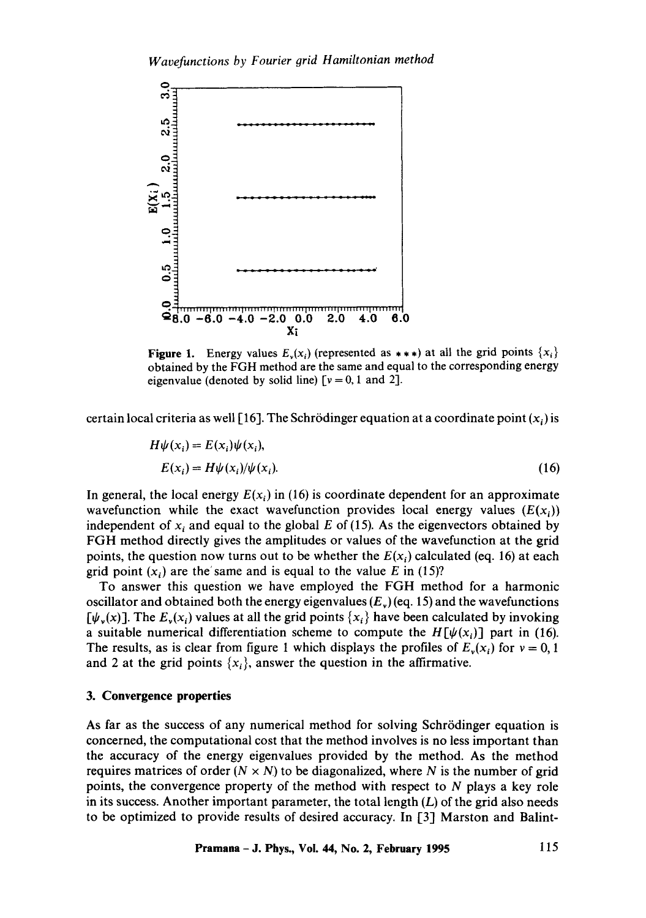

**Figure 1.** Energy values  $E_v(x_i)$  (represented as  $**$ ) at all the grid points  $\{x_i\}$ obtained by the FGH method are the same and equal to the corresponding energy eigenvalue (denoted by solid line)  $[v = 0, 1 \text{ and } 2]$ .

certain local criteria as well [16]. The Schrödinger equation at a coordinate point  $(x_i)$  is

$$
H\psi(x_i) = E(x_i)\psi(x_i),
$$
  
\n
$$
E(x_i) = H\psi(x_i)/\psi(x_i).
$$
\n(16)

In general, the local energy  $E(x_i)$  in (16) is coordinate dependent for an approximate wavefunction while the exact wavefunction provides local energy values  $(E(x_i))$ independent of  $x_i$  and equal to the global E of (15). As the eigenvectors obtained by FGH method directly gives the amplitudes or values of the wavefunction at the grid points, the question now turns out to be whether the  $E(x_i)$  calculated (eq. 16) at each grid point  $(x_i)$  are the same and is equal to the value E in (15)?

To answer this question we have employed the FGH method for a harmonic oscillator and obtained both the energy eigenvalues  $(E<sub>v</sub>)$  (eq. 15) and the wavefunctions  $[\psi_{\nu}(x)]$ . The  $E_{\nu}(x_i)$  values at all the grid points  $\{x_i\}$  have been calculated by invoking a suitable numerical differentiation scheme to compute the  $H[\psi(x_i)]$  part in (16). The results, as is clear from figure 1 which displays the profiles of  $E_v(x_i)$  for  $v = 0, 1$ and 2 at the grid points  $\{x_i\}$ , answer the question in the affirmative.

# **3. Convergence properties**

As far as the success of any numerical method for solving Schrödinger equation is concerned, the computational cost that the method involves is no less important than the accuracy of the energy eigenvalues provided by the method. As the method requires matrices of order  $(N \times N)$  to be diagonalized, where N is the number of grid points, the convergence property of the method with respect to N plays a key role in its success. Another important parameter, the total length  $(L)$  of the grid also needs to be optimized to provide results of desired accuracy. In [3] Marston and Balint-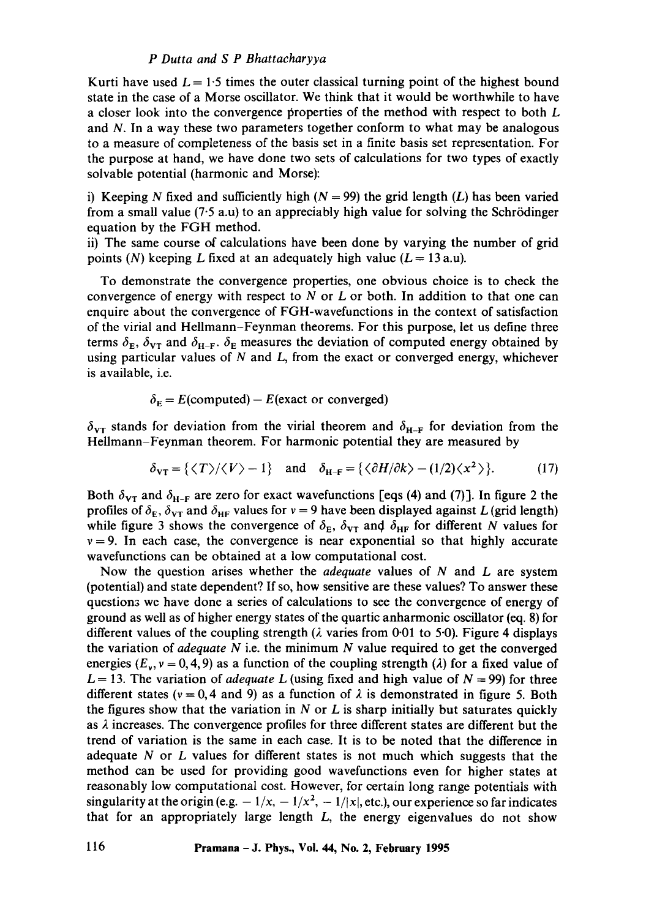## *P Dutta and S P Bhattacharyya*

Kurti have used  $L = 1.5$  times the outer classical turning point of the highest bound state in the case of a Morse oscillator. We think that it would be worthwhile to have a closer look into the convergence properties of the method with respect to both L and N. In a way these two parameters together conform to what may be analogous to a measure of completeness of the basis set in a finite basis set representation. For the purpose at hand, we have done two sets of calculations for two types of exactly solvable potential (harmonic and Morse):

i) Keeping N fixed and sufficiently high ( $N = 99$ ) the grid length (L) has been varied from a small value  $(7.5 \text{ a.u})$  to an appreciably high value for solving the Schrödinger equation by the FGH method.

ii) The same course of calculations have been done by varying the number of grid points (N) keeping L fixed at an adequately high value  $(L = 13 \text{ a.u}).$ 

To demonstrate the convergence properties, one obvious choice is to check the convergence of energy with respect to  $N$  or  $L$  or both. In addition to that one can enquire about the convergence of FGH-wavefunctions in the context of satisfaction of the virial and Hellmann-Feynman theorems. For this purpose, let us define three terms  $\delta_{\rm E}$ ,  $\delta_{\rm VT}$  and  $\delta_{\rm H-F}$ .  $\delta_{\rm E}$  measures the deviation of computed energy obtained by using particular values of  $N$  and  $L$ , from the exact or converged energy, whichever is available, i.e.

 $\delta_{\rm E}$  = E(computed) – E(exact or converged)

 $\delta_{\rm VI}$  stands for deviation from the virial theorem and  $\delta_{\rm H-F}$  for deviation from the Hellmann-Feynman theorem. For harmonic potential they are measured by

$$
\delta_{\mathbf{v}\mathbf{T}} = \{ \langle T \rangle / \langle V \rangle - 1 \} \quad \text{and} \quad \delta_{\mathbf{H} - \mathbf{F}} = \{ \langle \partial H / \partial k \rangle - (1/2) \langle x^2 \rangle \}. \tag{17}
$$

Both  $\delta_{\rm VT}$  and  $\delta_{\rm H-F}$  are zero for exact wavefunctions [eqs (4) and (7)]. In figure 2 the profiles of  $\delta_{\rm E}$ ,  $\delta_{\rm VT}$  and  $\delta_{\rm HF}$  values for  $v = 9$  have been displayed against L (grid length) while figure 3 shows the convergence of  $\delta_{\rm E}$ ,  $\delta_{\rm VT}$  and  $\delta_{\rm HF}$  for different N values for  $v = 9$ . In each case, the convergence is near exponential so that highly accurate wavefunctions can be obtained at a low computational cost.

Now the question arises whether the *adequate* values of N and L are system (potential) and state dependent? If so, how sensitive are these values? To answer these question3 we have done a series of calculations to see the convergence of energy of ground as well as of higher energy states of the quartic anharmonic oscillator (eq. 8) for different values of the coupling strength ( $\lambda$  varies from 0.01 to 5.0). Figure 4 displays the variation of *adequate N* i.e. the minimum N value required to get the converged energies ( $E_y$ ,  $y = 0, 4, 9$ ) as a function of the coupling strength ( $\lambda$ ) for a fixed value of  $L = 13$ . The variation of *adequate L* (using fixed and high value of  $N = 99$ ) for three different states ( $v = 0, 4$  and 9) as a function of  $\lambda$  is demonstrated in figure 5. Both the figures show that the variation in  $N$  or  $L$  is sharp initially but saturates quickly as  $\lambda$  increases. The convergence profiles for three different states are different but the trend of variation is the same in each case. It is to be noted that the difference in adequate N or L values for different states is not much which suggests that the method can be used for providing good wavefunctions even for higher states at reasonably low computational cost. However, for certain long range potentials with singularity at the origin (e.g.  $-1/x$ ,  $-1/x^2$ ,  $-1/|x|$ , etc.), our experience so far indicates that for an appropriately large length  $L$ , the energy eigenvalues do not show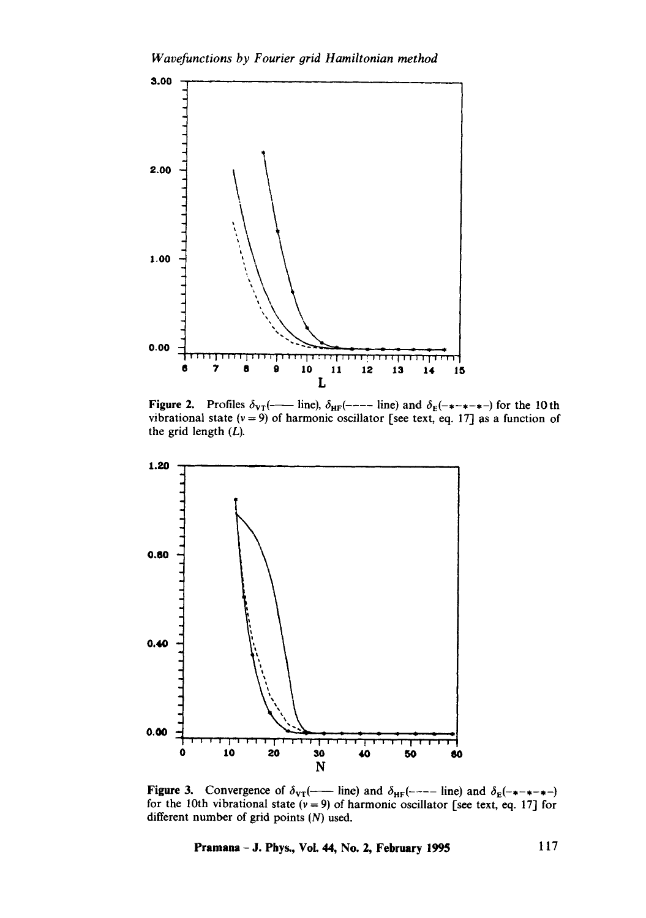*Wavefunctions by Fourier orid Hamiltonian method* 



Figure 2. Profiles  $\delta_{\text{VT}}$ ( - ine),  $\delta_{\text{HF}}$ (---- line) and  $\delta_{\text{E}}$ (- $\star$ - $\star$ - $\star$ ) for the 10th vibrational state  $(v = 9)$  of harmonic oscillator [see text, eq. 17] as a function of the grid length (L).



Figure 3. Convergence of  $\delta_{\text{VI}}(\text{---}$  line) and  $\delta_{\text{HF}}(\text{---}$  line) and  $\delta_{\text{E}}(\text{---} \text{---})$ for the 10th vibrational state  $(v = 9)$  of harmonic oscillator [see text, eq. 17] for different number of grid points (N) used.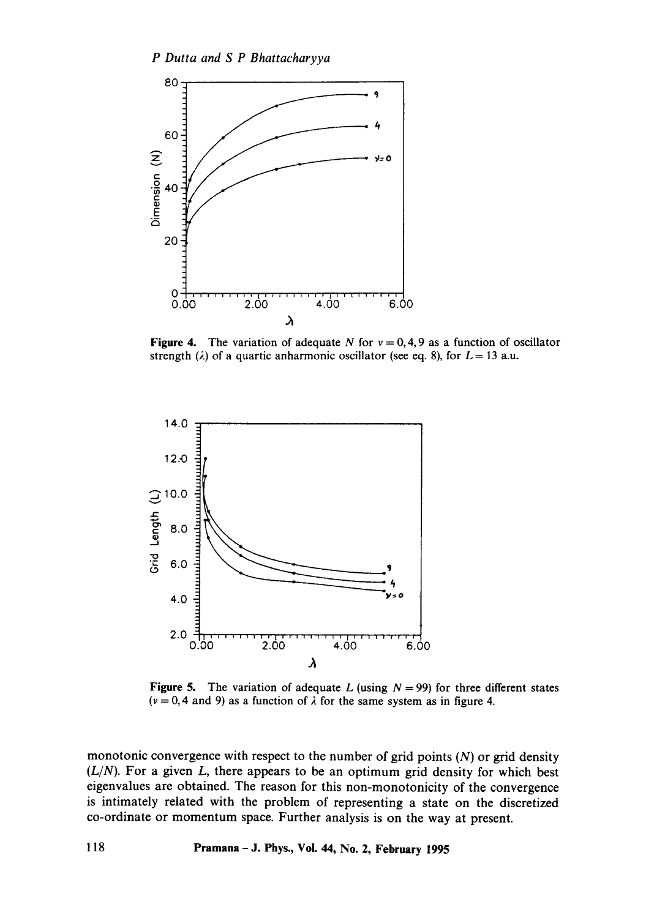

Figure 4. The variation of adequate N for  $v = 0, 4, 9$  as a function of oscillator strength ( $\lambda$ ) of a quartic anharmonic oscillator (see eq. 8), for  $L = 13$  a.u.



Figure 5. The variation of adequate L (using  $N = 99$ ) for three different states ( $v = 0, 4$  and 9) as a function of  $\lambda$  for the same system as in figure 4.

monotonic convergence with respect to the number of grid points  $(N)$  or grid density  $(L/N)$ . For a given  $L$ , there appears to be an optimum grid density for which best eigenvalues are obtained. The reason for this non-monotonicity of the convergence is intimately related with the problem of representing a state on the discretized co-ordinate or momentum space. Further analysis is on the way at present.

**118 Pramana- J. Phys., Vol. 44, No. 2, February 1995**